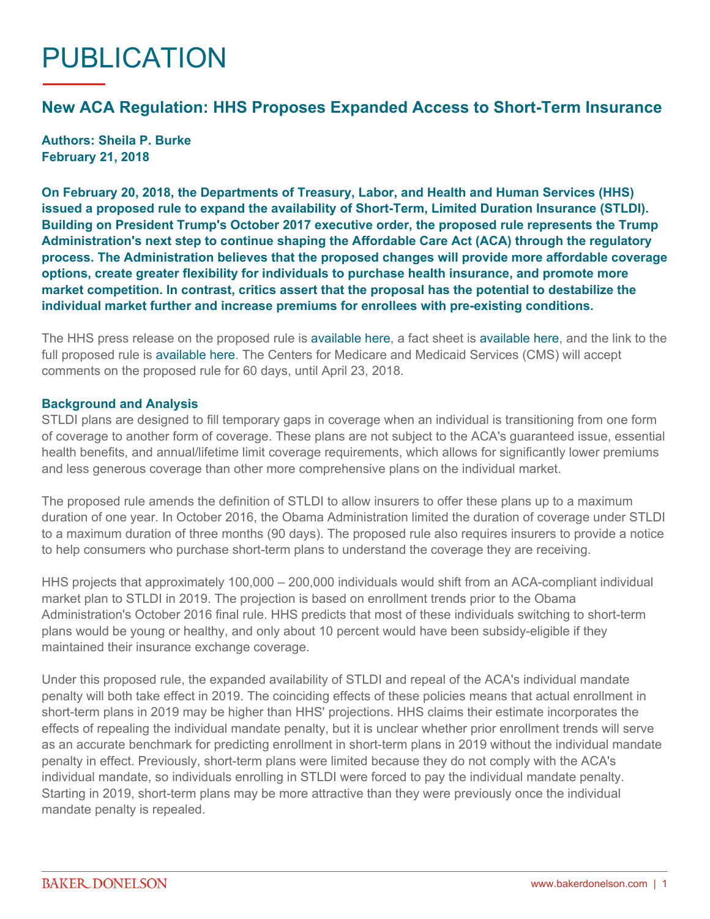## PUBLICATION

## **New ACA Regulation: HHS Proposes Expanded Access to Short-Term Insurance**

**Authors: Sheila P. Burke February 21, 2018**

**On February 20, 2018, the Departments of Treasury, Labor, and Health and Human Services (HHS) issued a proposed rule to expand the availability of Short-Term, Limited Duration Insurance (STLDI). Building on President Trump's October 2017 executive order, the proposed rule represents the Trump Administration's next step to continue shaping the Affordable Care Act (ACA) through the regulatory process. The Administration believes that the proposed changes will provide more affordable coverage options, create greater flexibility for individuals to purchase health insurance, and promote more market competition. In contrast, critics assert that the proposal has the potential to destabilize the individual market further and increase premiums for enrollees with pre-existing conditions.**

The HHS press release on the proposed rule is [available here,](https://www.hhs.gov/about/news/2018/02/20/trump-administration-works-give-relief-americans-facing-high-premiums-fewer-choices.html) a fact sheet is [available here](https://www.cms.gov/Newsroom/MediaReleaseDatabase/Fact-sheets/2018-Fact-sheets-items/2018-02-20.html), and the link to the full proposed rule is [available here.](https://www.federalregister.gov/documents/2018/02/21/2018-03208/short-term-limited-duration-insurance) The Centers for Medicare and Medicaid Services (CMS) will accept comments on the proposed rule for 60 days, until April 23, 2018.

## **Background and Analysis**

STLDI plans are designed to fill temporary gaps in coverage when an individual is transitioning from one form of coverage to another form of coverage. These plans are not subject to the ACA's guaranteed issue, essential health benefits, and annual/lifetime limit coverage requirements, which allows for significantly lower premiums and less generous coverage than other more comprehensive plans on the individual market.

The proposed rule amends the definition of STLDI to allow insurers to offer these plans up to a maximum duration of one year. In October 2016, the Obama Administration limited the duration of coverage under STLDI to a maximum duration of three months (90 days). The proposed rule also requires insurers to provide a notice to help consumers who purchase short-term plans to understand the coverage they are receiving.

HHS projects that approximately 100,000 – 200,000 individuals would shift from an ACA-compliant individual market plan to STLDI in 2019. The projection is based on enrollment trends prior to the Obama Administration's October 2016 final rule. HHS predicts that most of these individuals switching to short-term plans would be young or healthy, and only about 10 percent would have been subsidy-eligible if they maintained their insurance exchange coverage.

Under this proposed rule, the expanded availability of STLDI and repeal of the ACA's individual mandate penalty will both take effect in 2019. The coinciding effects of these policies means that actual enrollment in short-term plans in 2019 may be higher than HHS' projections. HHS claims their estimate incorporates the effects of repealing the individual mandate penalty, but it is unclear whether prior enrollment trends will serve as an accurate benchmark for predicting enrollment in short-term plans in 2019 without the individual mandate penalty in effect. Previously, short-term plans were limited because they do not comply with the ACA's individual mandate, so individuals enrolling in STLDI were forced to pay the individual mandate penalty. Starting in 2019, short-term plans may be more attractive than they were previously once the individual mandate penalty is repealed.